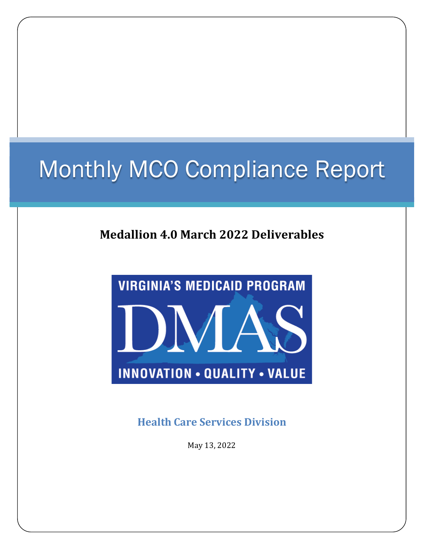# Monthly MCO Compliance Report

### **Medallion 4.0 March 2022 Deliverables**



**Health Care Services Division**

May 13, 2022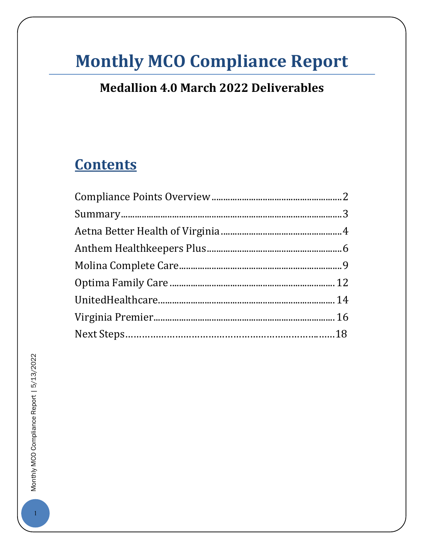### **Monthly MCO Compliance Report**

### **Medallion 4.0 March 2022 Deliverables**

### **Contents**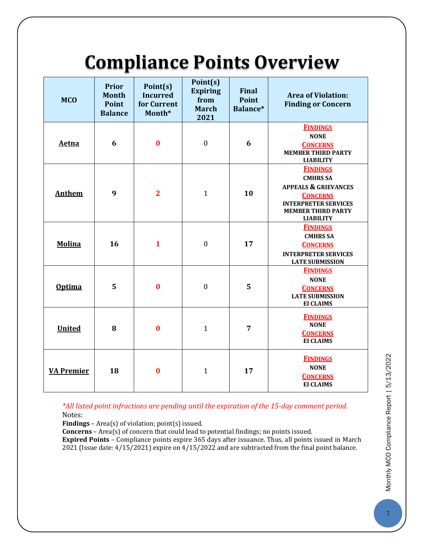## **Compliance Points Overview**

<span id="page-2-0"></span>

| <b>MCO</b>        | <b>Prior</b><br><b>Month</b><br>Point<br><b>Balance</b> | Point(s)<br><b>Incurred</b><br>for Current<br>Month* | Point(s)<br><b>Expiring</b><br>from<br><b>March</b><br>2021 | <b>Final</b><br><b>Point</b><br>Balance* | <b>Area of Violation:</b><br><b>Finding or Concern</b>                                                                                                                   |
|-------------------|---------------------------------------------------------|------------------------------------------------------|-------------------------------------------------------------|------------------------------------------|--------------------------------------------------------------------------------------------------------------------------------------------------------------------------|
| <b>Aetna</b>      | 6                                                       | $\bf{0}$                                             | $\boldsymbol{0}$                                            | 6                                        | <b>FINDINGS</b><br><b>NONE</b><br><b>CONCERNS</b><br><b>MEMBER THIRD PARTY</b><br><b>LIABILITY</b>                                                                       |
| <b>Anthem</b>     | 9                                                       | $\overline{2}$                                       | $\mathbf{1}$                                                | 10                                       | <b>FINDINGS</b><br><b>CMHRS SA</b><br><b>APPEALS &amp; GRIEVANCES</b><br><b>CONCERNS</b><br><b>INTERPRETER SERVICES</b><br><b>MEMBER THIRD PARTY</b><br><b>LIABILITY</b> |
| <b>Molina</b>     | 16                                                      | $\mathbf{1}$                                         | $\boldsymbol{0}$                                            | 17                                       | <b>FINDINGS</b><br><b>CMHRS SA</b><br><b>CONCERNS</b><br><b>INTERPRETER SERVICES</b><br><b>LATE SUBMISSION</b>                                                           |
| <b>Optima</b>     | 5                                                       | $\bf{0}$                                             | $\boldsymbol{0}$                                            | 5                                        | <b>FINDINGS</b><br><b>NONE</b><br><b>CONCERNS</b><br><b>LATE SUBMISSION</b><br><b>EI CLAIMS</b>                                                                          |
| <b>United</b>     | 8                                                       | $\bf{0}$                                             | $\mathbf{1}$                                                | 7                                        | <b>FINDINGS</b><br><b>NONE</b><br><b>CONCERNS</b><br><b>EI CLAIMS</b>                                                                                                    |
| <b>VA Premier</b> | 18                                                      | $\bf{0}$                                             | $\mathbf{1}$                                                | 17                                       | <b>FINDINGS</b><br><b>NONE</b><br><b>CONCERNS</b><br><b>EI CLAIMS</b>                                                                                                    |

*\*All listed point infractions are pending until the expiration of the 15-day comment period.* Notes:

**Findings** – Area(s) of violation; point(s) issued.

**Concerns** – Area(s) of concern that could lead to potential findings; no points issued.

<span id="page-2-1"></span>**Expired Points** – Compliance points expire 365 days after issuance. Thus, all points issued in March 2021 (Issue date: 4/15/2021) expire on 4/15/2022 and are subtracted from the final point balance.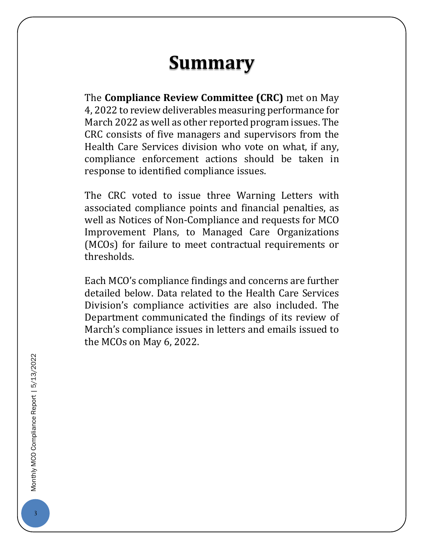### **Summary**

The **Compliance Review Committee (CRC)** met on May 4, 2022 to review deliverables measuring performance for March 2022 as well as other reported program issues. The CRC consists of five managers and supervisors from the Health Care Services division who vote on what, if any, compliance enforcement actions should be taken in response to identified compliance issues.

The CRC voted to issue three Warning Letters with associated compliance points and financial penalties, as well as Notices of Non-Compliance and requests for MCO Improvement Plans, to Managed Care Organizations (MCOs) for failure to meet contractual requirements or thresholds.

<span id="page-3-0"></span>Each MCO's compliance findings and concerns are further detailed below. Data related to the Health Care Services Division's compliance activities are also included. The Department communicated the findings of its review of March's compliance issues in letters and emails issued to the MCOs on May 6, 2022.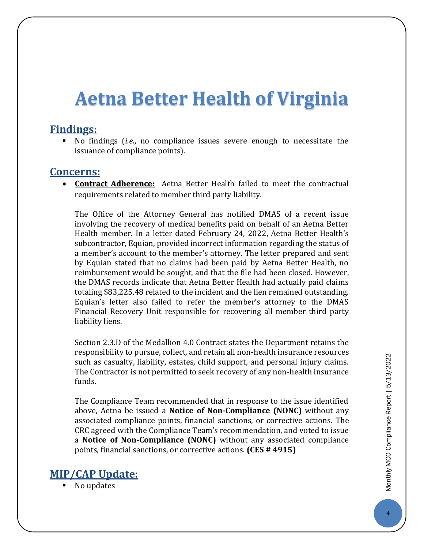### **Aetna Better Health of Virginia**

#### **Findings:**

 No findings (*i.e.*, no compliance issues severe enough to necessitate the issuance of compliance points).

#### **Concerns:**

 **Contract Adherence:** Aetna Better Health failed to meet the contractual requirements related to member third party liability.

The Office of the Attorney General has notified DMAS of a recent issue involving the recovery of medical benefits paid on behalf of an Aetna Better Health member. In a letter dated February 24, 2022, Aetna Better Health's subcontractor, Equian, provided incorrect information regarding the status of a member's account to the member's attorney. The letter prepared and sent by Equian stated that no claims had been paid by Aetna Better Health, no reimbursement would be sought, and that the file had been closed. However, the DMAS records indicate that Aetna Better Health had actually paid claims totaling \$83,225.48 related to the incident and the lien remained outstanding. Equian's letter also failed to refer the member's attorney to the DMAS Financial Recovery Unit responsible for recovering all member third party liability liens.

Section 2.3.D of the Medallion 4.0 Contract states the Department retains the responsibility to pursue, collect, and retain all non-health insurance resources such as casualty, liability, estates, child support, and personal injury claims. The Contractor is not permitted to seek recovery of any non-health insurance funds.

The Compliance Team recommended that in response to the issue identified above, Aetna be issued a **Notice of Non-Compliance (NONC)** without any associated compliance points, financial sanctions, or corrective actions. The CRC agreed with the Compliance Team's recommendation, and voted to issue a **Notice of Non-Compliance (NONC)** without any associated compliance points, financial sanctions, or corrective actions. **(CES # 4915)**

#### **MIP/CAP Update:**

No updates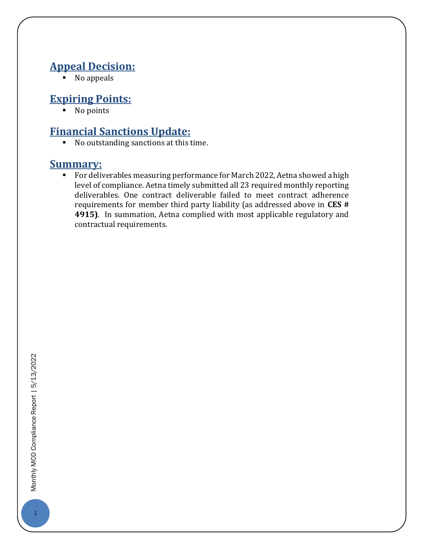#### **Appeal Decision:**

 $\overline{\phantom{a}}$  No appeals

#### **Expiring Points:**

■ No points

### **Financial Sanctions Update:**

 $\blacksquare$  No outstanding sanctions at this time.

#### **Summary:**

For deliverables measuring performance for March 2022, Aetna showed a high level of compliance. Aetna timely submitted all 23 required monthly reporting deliverables. One contract deliverable failed to meet contract adherence requirements for member third party liability (as addressed above in **CES # 4915)**. In summation, Aetna complied with most applicable regulatory and contractual requirements.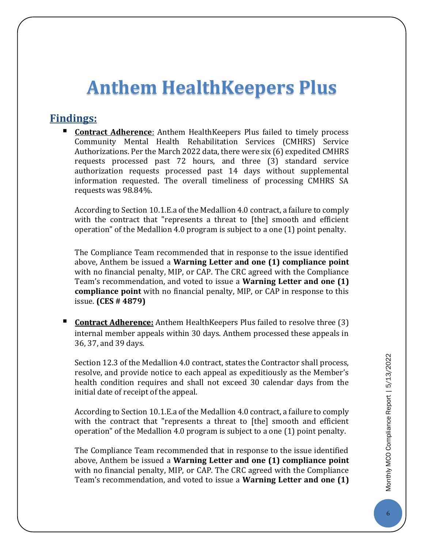### <span id="page-6-0"></span>**Anthem HealthKeepers Plus**

#### **Findings:**

**Contract Adherence:** Anthem HealthKeepers Plus failed to timely process Community Mental Health Rehabilitation Services (CMHRS) Service Authorizations. Per the March 2022 data, there were six (6) expedited CMHRS requests processed past 72 hours, and three (3) standard service authorization requests processed past 14 days without supplemental information requested. The overall timeliness of processing CMHRS SA requests was 98.84%.

According to Section 10.1.E.a of the Medallion 4.0 contract, a failure to comply with the contract that "represents a threat to [the] smooth and efficient operation" of the Medallion 4.0 program is subject to a one (1) point penalty.

The Compliance Team recommended that in response to the issue identified above, Anthem be issued a **Warning Letter and one (1) compliance point** with no financial penalty, MIP, or CAP. The CRC agreed with the Compliance Team's recommendation, and voted to issue a **Warning Letter and one (1) compliance point** with no financial penalty, MIP, or CAP in response to this issue. **(CES # 4879)**

 **Contract Adherence:** Anthem HealthKeepers Plus failed to resolve three (3) internal member appeals within 30 days. Anthem processed these appeals in 36, 37, and 39 days.

Section 12.3 of the Medallion 4.0 contract, states the Contractor shall process, resolve, and provide notice to each appeal as expeditiously as the Member's health condition requires and shall not exceed 30 calendar days from the initial date of receipt of the appeal.

According to Section 10.1.E.a of the Medallion 4.0 contract, a failure to comply with the contract that "represents a threat to [the] smooth and efficient operation" of the Medallion 4.0 program is subject to a one (1) point penalty.

The Compliance Team recommended that in response to the issue identified above, Anthem be issued a **Warning Letter and one (1) compliance point** with no financial penalty, MIP, or CAP. The CRC agreed with the Compliance Team's recommendation, and voted to issue a **Warning Letter and one (1)**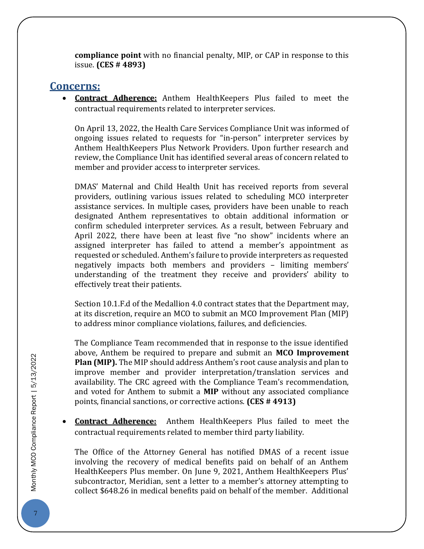**compliance point** with no financial penalty, MIP, or CAP in response to this issue. **(CES # 4893)**

#### **Concerns:**

 **Contract Adherence:** Anthem HealthKeepers Plus failed to meet the contractual requirements related to interpreter services.

On April 13, 2022, the Health Care Services Compliance Unit was informed of ongoing issues related to requests for "in-person" interpreter services by Anthem HealthKeepers Plus Network Providers. Upon further research and review, the Compliance Unit has identified several areas of concern related to member and provider access to interpreter services.

DMAS' Maternal and Child Health Unit has received reports from several providers, outlining various issues related to scheduling MCO interpreter assistance services. In multiple cases, providers have been unable to reach designated Anthem representatives to obtain additional information or confirm scheduled interpreter services. As a result, between February and April 2022, there have been at least five "no show" incidents where an assigned interpreter has failed to attend a member's appointment as requested or scheduled. Anthem's failure to provide interpreters as requested negatively impacts both members and providers – limiting members' understanding of the treatment they receive and providers' ability to effectively treat their patients.

Section 10.1.F.d of the Medallion 4.0 contract states that the Department may, at its discretion, require an MCO to submit an MCO Improvement Plan (MIP) to address minor compliance violations, failures, and deficiencies.

The Compliance Team recommended that in response to the issue identified above, Anthem be required to prepare and submit an **MCO Improvement Plan (MIP).** The MIP should address Anthem's root cause analysis and plan to improve member and provider interpretation/translation services and availability. The CRC agreed with the Compliance Team's recommendation, and voted for Anthem to submit a **MIP** without any associated compliance points, financial sanctions, or corrective actions. **(CES # 4913)**

 **Contract Adherence:** Anthem HealthKeepers Plus failed to meet the contractual requirements related to member third party liability.

The Office of the Attorney General has notified DMAS of a recent issue involving the recovery of medical benefits paid on behalf of an Anthem HealthKeepers Plus member. On June 9, 2021, Anthem HealthKeepers Plus' subcontractor, Meridian, sent a letter to a member's attorney attempting to collect \$648.26 in medical benefits paid on behalf of the member. Additional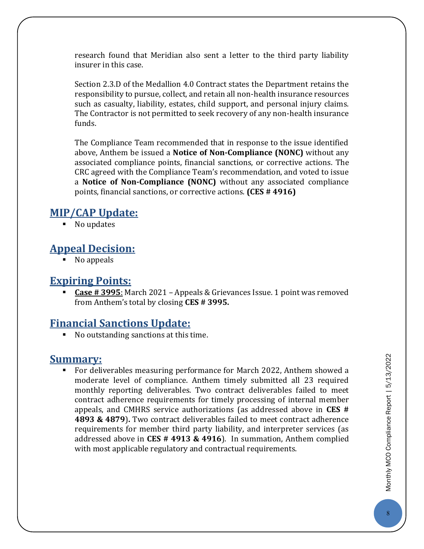research found that Meridian also sent a letter to the third party liability insurer in this case.

Section 2.3.D of the Medallion 4.0 Contract states the Department retains the responsibility to pursue, collect, and retain all non-health insurance resources such as casualty, liability, estates, child support, and personal injury claims. The Contractor is not permitted to seek recovery of any non-health insurance funds.

The Compliance Team recommended that in response to the issue identified above, Anthem be issued a **Notice of Non-Compliance (NONC)** without any associated compliance points, financial sanctions, or corrective actions. The CRC agreed with the Compliance Team's recommendation, and voted to issue a **Notice of Non-Compliance (NONC)** without any associated compliance points, financial sanctions, or corrective actions. **(CES # 4916)**

#### **MIP/CAP Update:**

■ No updates

#### **Appeal Decision:**

No appeals

#### **Expiring Points:**

 **Case # 3995**: March 2021 – Appeals & Grievances Issue. 1 point was removed from Anthem's total by closing **CES # 3995.**

#### **Financial Sanctions Update:**

No outstanding sanctions at this time.

#### **Summary:**

 For deliverables measuring performance for March 2022, Anthem showed a moderate level of compliance. Anthem timely submitted all 23 required monthly reporting deliverables. Two contract deliverables failed to meet contract adherence requirements for timely processing of internal member appeals, and CMHRS service authorizations (as addressed above in **CES # 4893 & 4879**)**.** Two contract deliverables failed to meet contract adherence requirements for member third party liability, and interpreter services (as addressed above in **CES # 4913 & 4916**). In summation, Anthem complied with most applicable regulatory and contractual requirements.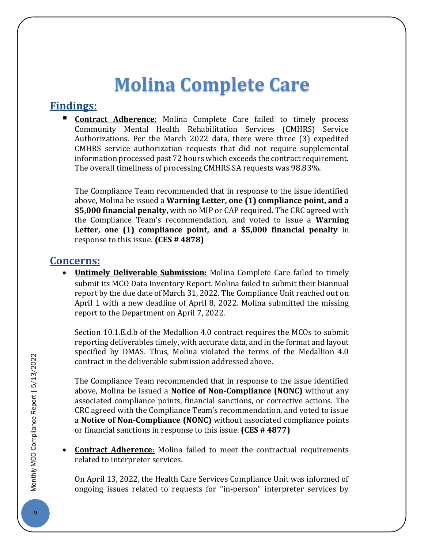## **Molina Complete Care**

#### <span id="page-9-0"></span>**Findings:**

 **Contract Adherence**: Molina Complete Care failed to timely process Community Mental Health Rehabilitation Services (CMHRS) Service Authorizations. Per the March 2022 data, there were three (3) expedited CMHRS service authorization requests that did not require supplemental information processed past 72 hours which exceeds the contract requirement. The overall timeliness of processing CMHRS SA requests was 98.83%.

The Compliance Team recommended that in response to the issue identified above, Molina be issued a **Warning Letter, one (1) compliance point, and a \$5,000 financial penalty,** with no MIP or CAP required**.** The CRC agreed with the Compliance Team's recommendation, and voted to issue a **Warning Letter, one (1) compliance point, and a \$5,000 financial penalty** in response to this issue. **(CES # 4878)**

#### **Concerns:**

 **Untimely Deliverable Submission:** Molina Complete Care failed to timely submit its MCO Data Inventory Report. Molina failed to submit their biannual report by the due date of March 31, 2022. The Compliance Unit reached out on April 1 with a new deadline of April 8, 2022. Molina submitted the missing report to the Department on April 7, 2022.

Section 10.1.E.d.b of the Medallion 4.0 contract requires the MCOs to submit reporting deliverables timely, with accurate data, and in the format and layout specified by DMAS. Thus, Molina violated the terms of the Medallion 4.0 contract in the deliverable submission addressed above.

The Compliance Team recommended that in response to the issue identified above, Molina be issued a **Notice of Non-Compliance (NONC)** without any associated compliance points, financial sanctions, or corrective actions. The CRC agreed with the Compliance Team's recommendation, and voted to issue a **Notice of Non-Compliance (NONC)** without associated compliance points or financial sanctions in response to this issue. **(CES # 4877)**

 **Contract Adherence**: Molina failed to meet the contractual requirements related to interpreter services.

On April 13, 2022, the Health Care Services Compliance Unit was informed of ongoing issues related to requests for "in-person" interpreter services by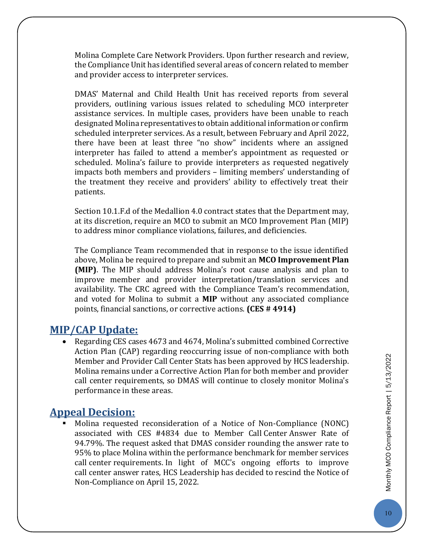Molina Complete Care Network Providers. Upon further research and review, the Compliance Unit has identified several areas of concern related to member and provider access to interpreter services.

DMAS' Maternal and Child Health Unit has received reports from several providers, outlining various issues related to scheduling MCO interpreter assistance services. In multiple cases, providers have been unable to reach designated Molina representatives to obtain additional information or confirm scheduled interpreter services. As a result, between February and April 2022, there have been at least three "no show" incidents where an assigned interpreter has failed to attend a member's appointment as requested or scheduled. Molina's failure to provide interpreters as requested negatively impacts both members and providers – limiting members' understanding of the treatment they receive and providers' ability to effectively treat their patients.

Section 10.1.F.d of the Medallion 4.0 contract states that the Department may, at its discretion, require an MCO to submit an MCO Improvement Plan (MIP) to address minor compliance violations, failures, and deficiencies.

The Compliance Team recommended that in response to the issue identified above, Molina be required to prepare and submit an **MCO Improvement Plan (MIP)**. The MIP should address Molina's root cause analysis and plan to improve member and provider interpretation/translation services and availability. The CRC agreed with the Compliance Team's recommendation, and voted for Molina to submit a **MIP** without any associated compliance points, financial sanctions, or corrective actions. **(CES # 4914)**

#### **MIP/CAP Update:**

 Regarding CES cases 4673 and 4674, Molina's submitted combined Corrective Action Plan (CAP) regarding reoccurring issue of non-compliance with both Member and Provider Call Center Stats has been approved by HCS leadership. Molina remains under a Corrective Action Plan for both member and provider call center requirements, so DMAS will continue to closely monitor Molina's performance in these areas.

#### **Appeal Decision:**

 Molina requested reconsideration of a Notice of Non-Compliance (NONC) associated with CES #4834 due to Member Call Center Answer Rate of 94.79%. The request asked that DMAS consider rounding the answer rate to 95% to place Molina within the performance benchmark for member services call center requirements. In light of MCC's ongoing efforts to improve call center answer rates, HCS Leadership has decided to rescind the Notice of Non-Compliance on April 15, 2022.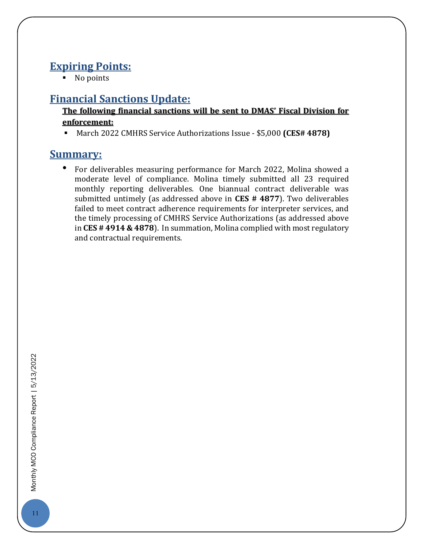#### **Expiring Points:**

• No points

#### **Financial Sanctions Update:**

#### **The following financial sanctions will be sent to DMAS' Fiscal Division for enforcement:**

March 2022 CMHRS Service Authorizations Issue - \$5,000 **(CES# 4878)**

#### **Summary:**

• For deliverables measuring performance for March 2022, Molina showed a moderate level of compliance. Molina timely submitted all 23 required monthly reporting deliverables. One biannual contract deliverable was submitted untimely (as addressed above in **CES # 4877**). Two deliverables failed to meet contract adherence requirements for interpreter services, and the timely processing of CMHRS Service Authorizations (as addressed above in **CES # 4914 & 4878**). In summation, Molina complied with most regulatory and contractual requirements.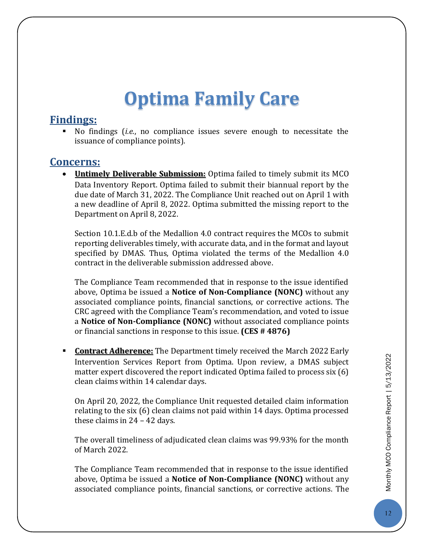## **Optima Family Care**

#### <span id="page-12-0"></span>**Findings:**

 No findings (*i.e.*, no compliance issues severe enough to necessitate the issuance of compliance points).

#### **Concerns:**

 **Untimely Deliverable Submission:** Optima failed to timely submit its MCO Data Inventory Report. Optima failed to submit their biannual report by the due date of March 31, 2022. The Compliance Unit reached out on April 1 with a new deadline of April 8, 2022. Optima submitted the missing report to the Department on April 8, 2022.

Section 10.1.E.d.b of the Medallion 4.0 contract requires the MCOs to submit reporting deliverables timely, with accurate data, and in the format and layout specified by DMAS. Thus, Optima violated the terms of the Medallion 4.0 contract in the deliverable submission addressed above.

The Compliance Team recommended that in response to the issue identified above, Optima be issued a **Notice of Non-Compliance (NONC)** without any associated compliance points, financial sanctions, or corrective actions. The CRC agreed with the Compliance Team's recommendation, and voted to issue a **Notice of Non-Compliance (NONC)** without associated compliance points or financial sanctions in response to this issue. **(CES # 4876)**

 **Contract Adherence:** The Department timely received the March 2022 Early Intervention Services Report from Optima. Upon review, a DMAS subject matter expert discovered the report indicated Optima failed to process six (6) clean claims within 14 calendar days.

On April 20, 2022, the Compliance Unit requested detailed claim information relating to the six (6) clean claims not paid within 14 days. Optima processed these claims in 24 – 42 days.

The overall timeliness of adjudicated clean claims was 99.93% for the month of March 2022.

The Compliance Team recommended that in response to the issue identified above, Optima be issued a **Notice of Non-Compliance (NONC)** without any associated compliance points, financial sanctions, or corrective actions. The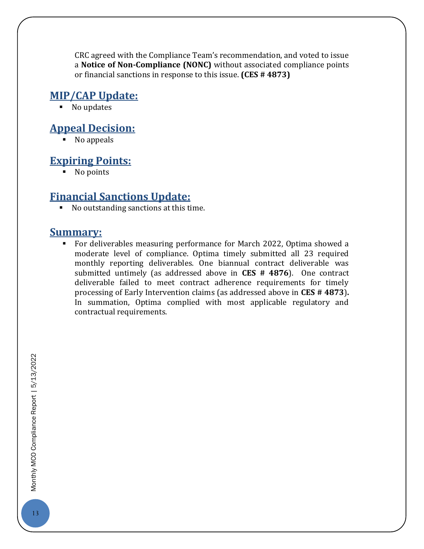CRC agreed with the Compliance Team's recommendation, and voted to issue a **Notice of Non-Compliance (NONC)** without associated compliance points or financial sanctions in response to this issue. **(CES # 4873)**

#### **MIP/CAP Update:**

• No updates

#### **Appeal Decision:**

 $\blacksquare$  No appeals

#### **Expiring Points:**

• No points

#### **Financial Sanctions Update:**

No outstanding sanctions at this time.

#### **Summary:**

<span id="page-13-0"></span> For deliverables measuring performance for March 2022, Optima showed a moderate level of compliance. Optima timely submitted all 23 required monthly reporting deliverables. One biannual contract deliverable was submitted untimely (as addressed above in **CES # 4876**). One contract deliverable failed to meet contract adherence requirements for timely processing of Early Intervention claims (as addressed above in **CES # 4873**)**.** In summation, Optima complied with most applicable regulatory and contractual requirements.

Monthly MCO Compliance Report | 5/13/2022 13Monthly MCO Compliance Report | 5/13/2022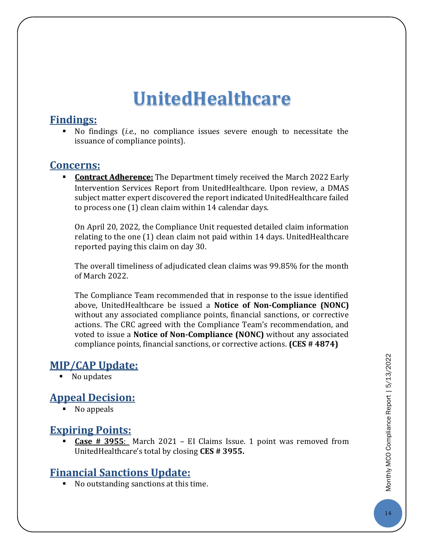## **UnitedHealthcare**

#### **Findings:**

 No findings (*i.e.*, no compliance issues severe enough to necessitate the issuance of compliance points).

#### **Concerns:**

 **Contract Adherence:** The Department timely received the March 2022 Early Intervention Services Report from UnitedHealthcare. Upon review, a DMAS subject matter expert discovered the report indicated UnitedHealthcare failed to process one (1) clean claim within 14 calendar days.

On April 20, 2022, the Compliance Unit requested detailed claim information relating to the one (1) clean claim not paid within 14 days. UnitedHealthcare reported paying this claim on day 30.

The overall timeliness of adjudicated clean claims was 99.85% for the month of March 2022.

The Compliance Team recommended that in response to the issue identified above, UnitedHealthcare be issued a **Notice of Non-Compliance (NONC)** without any associated compliance points, financial sanctions, or corrective actions. The CRC agreed with the Compliance Team's recommendation, and voted to issue a **Notice of Non-Compliance (NONC)** without any associated compliance points, financial sanctions, or corrective actions. **(CES # 4874)**

#### **MIP/CAP Update:**

• No updates

#### **Appeal Decision:**

No appeals

#### **Expiring Points:**

 **Case # 3955**: March 2021 – EI Claims Issue. 1 point was removed from UnitedHealthcare's total by closing **CES # 3955.**

#### **Financial Sanctions Update:**

No outstanding sanctions at this time.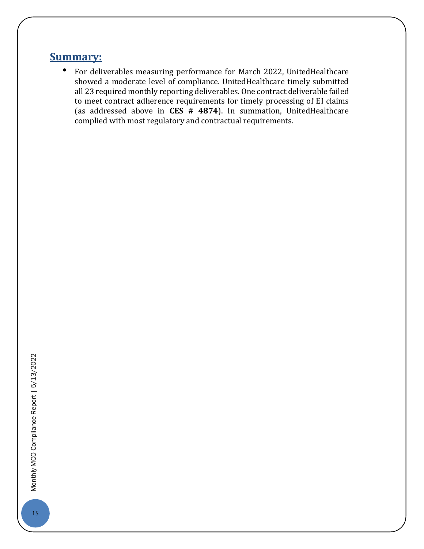#### **Summary:**

<span id="page-15-0"></span>• For deliverables measuring performance for March 2022, UnitedHealthcare showed a moderate level of compliance. UnitedHealthcare timely submitted all 23 required monthly reporting deliverables. One contract deliverable failed to meet contract adherence requirements for timely processing of EI claims (as addressed above in **CES # 4874**). In summation, UnitedHealthcare complied with most regulatory and contractual requirements.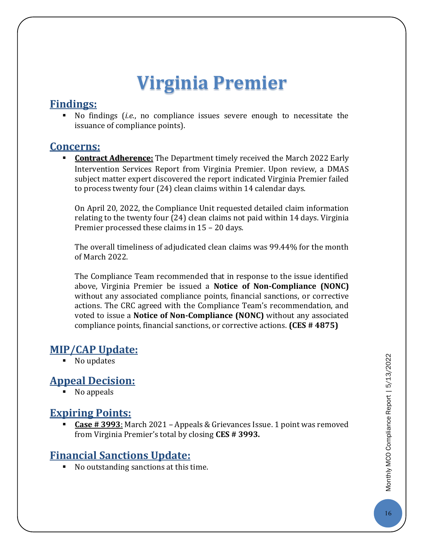## **Virginia Premier**

#### **Findings:**

 No findings (*i.e.*, no compliance issues severe enough to necessitate the issuance of compliance points).

#### **Concerns:**

**Contract Adherence:** The Department timely received the March 2022 Early Intervention Services Report from Virginia Premier. Upon review, a DMAS subject matter expert discovered the report indicated Virginia Premier failed to process twenty four (24) clean claims within 14 calendar days.

On April 20, 2022, the Compliance Unit requested detailed claim information relating to the twenty four (24) clean claims not paid within 14 days. Virginia Premier processed these claims in 15 – 20 days.

The overall timeliness of adjudicated clean claims was 99.44% for the month of March 2022.

The Compliance Team recommended that in response to the issue identified above, Virginia Premier be issued a **Notice of Non-Compliance (NONC)** without any associated compliance points, financial sanctions, or corrective actions. The CRC agreed with the Compliance Team's recommendation, and voted to issue a **Notice of Non-Compliance (NONC)** without any associated compliance points, financial sanctions, or corrective actions. **(CES # 4875)**

#### **MIP/CAP Update:**

■ No updates

#### **Appeal Decision:**

• No appeals

#### **Expiring Points:**

 **Case # 3993**: March 2021 – Appeals & Grievances Issue. 1 point was removed from Virginia Premier's total by closing **CES # 3993.**

#### **Financial Sanctions Update:**

■ No outstanding sanctions at this time.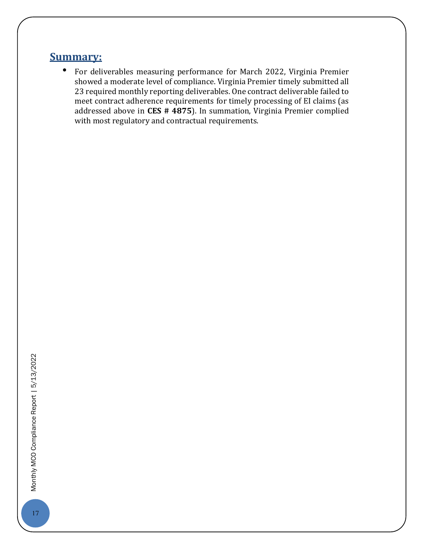#### **Summary:**

• For deliverables measuring performance for March 2022, Virginia Premier showed a moderate level of compliance. Virginia Premier timely submitted all 23 required monthly reporting deliverables. One contract deliverable failed to meet contract adherence requirements for timely processing of EI claims (as addressed above in **CES # 4875**). In summation, Virginia Premier complied with most regulatory and contractual requirements.